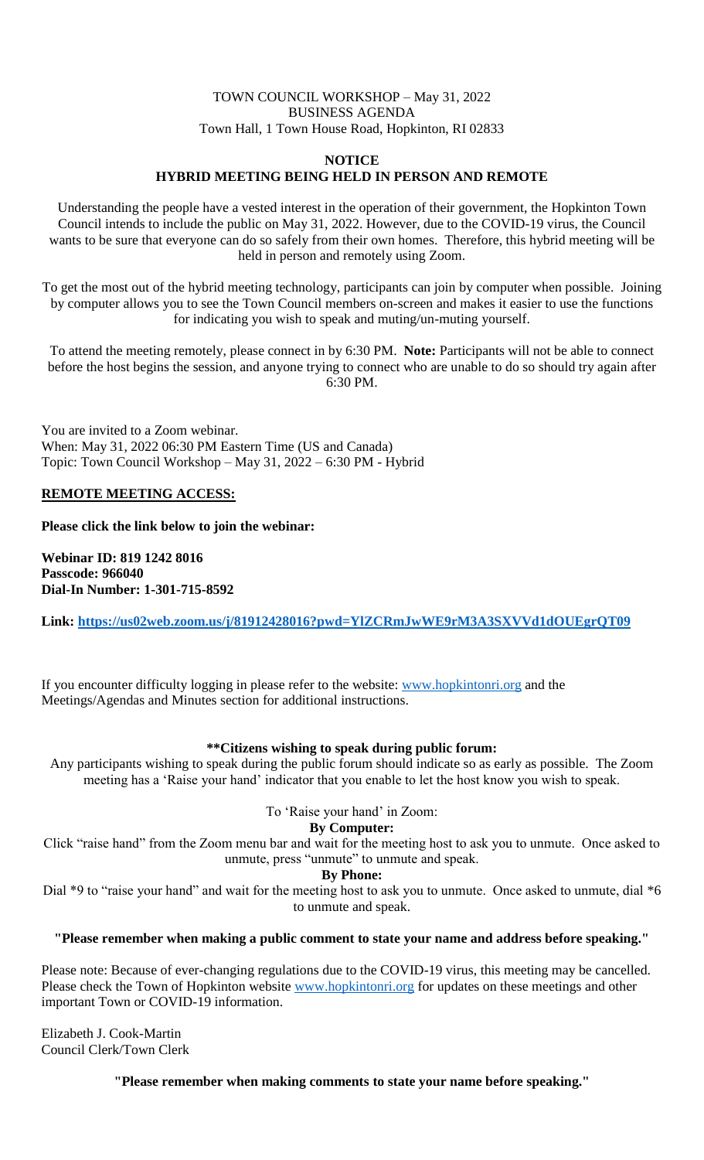## TOWN COUNCIL WORKSHOP – May 31, 2022 BUSINESS AGENDA Town Hall, 1 Town House Road, Hopkinton, RI 02833

#### **NOTICE HYBRID MEETING BEING HELD IN PERSON AND REMOTE**

Understanding the people have a vested interest in the operation of their government, the Hopkinton Town Council intends to include the public on May 31, 2022. However, due to the COVID-19 virus, the Council wants to be sure that everyone can do so safely from their own homes. Therefore, this hybrid meeting will be held in person and remotely using Zoom.

To get the most out of the hybrid meeting technology, participants can join by computer when possible. Joining by computer allows you to see the Town Council members on-screen and makes it easier to use the functions for indicating you wish to speak and muting/un-muting yourself.

To attend the meeting remotely, please connect in by 6:30 PM. **Note:** Participants will not be able to connect before the host begins the session, and anyone trying to connect who are unable to do so should try again after 6:30 PM.

You are invited to a Zoom webinar. When: May 31, 2022 06:30 PM Eastern Time (US and Canada) Topic: Town Council Workshop – May 31, 2022 – 6:30 PM - Hybrid

### **REMOTE MEETING ACCESS:**

**Please click the link below to join the webinar:**

**Webinar ID: 819 1242 8016 Passcode: 966040 Dial-In Number: 1-301-715-8592**

**Link:<https://us02web.zoom.us/j/81912428016?pwd=YlZCRmJwWE9rM3A3SXVVd1dOUEgrQT09>**

If you encounter difficulty logging in please refer to the website: [www.hopkintonri.org](http://www.hopkintonri.org/) and the Meetings/Agendas and Minutes section for additional instructions.

## **\*\*Citizens wishing to speak during public forum:**

Any participants wishing to speak during the public forum should indicate so as early as possible. The Zoom meeting has a 'Raise your hand' indicator that you enable to let the host know you wish to speak.

#### To 'Raise your hand' in Zoom:

#### **By Computer:**

Click "raise hand" from the Zoom menu bar and wait for the meeting host to ask you to unmute. Once asked to unmute, press "unmute" to unmute and speak.

#### **By Phone:**

Dial \*9 to "raise your hand" and wait for the meeting host to ask you to unmute. Once asked to unmute, dial \*6 to unmute and speak.

#### **"Please remember when making a public comment to state your name and address before speaking."**

Please note: Because of ever-changing regulations due to the COVID-19 virus, this meeting may be cancelled. Please check the Town of Hopkinton website [www.hopkintonri.org](http://www.hopkintonri.org/) for updates on these meetings and other important Town or COVID-19 information.

Elizabeth J. Cook-Martin Council Clerk/Town Clerk

**"Please remember when making comments to state your name before speaking."**